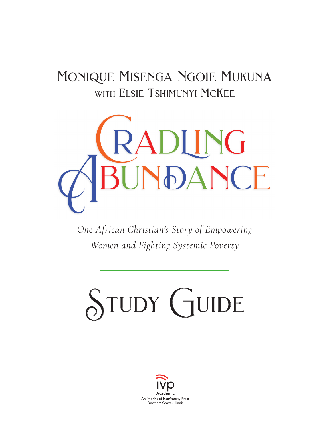# monique misenga ngoie mukuna with ELSIE TSHIMUNYI MCKEE



*One African Christian's Story of Empowering Women and Fighting Systemic Poverty*

# STUDY GUIDE

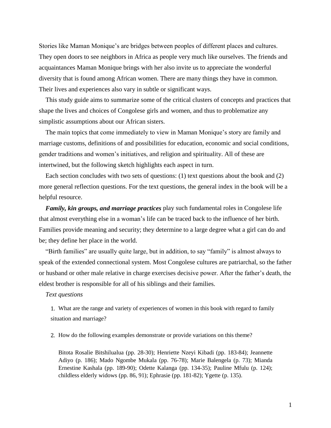Stories like Maman Monique's are bridges between peoples of different places and cultures. They open doors to see neighbors in Africa as people very much like ourselves. The friends and acquaintances Maman Monique brings with her also invite us to appreciate the wonderful diversity that is found among African women. There are many things they have in common. Their lives and experiences also vary in subtle or significant ways.

This study guide aims to summarize some of the critical clusters of concepts and practices that shape the lives and choices of Congolese girls and women, and thus to problematize any simplistic assumptions about our African sisters.

The main topics that come immediately to view in Maman Monique's story are family and marriage customs, definitions of and possibilities for education, economic and social conditions, gender traditions and women's initiatives, and religion and spirituality. All of these are intertwined, but the following sketch highlights each aspect in turn.

Each section concludes with two sets of questions: (1) text questions about the book and (2) more general reflection questions. For the text questions, the general index in the book will be a helpful resource.

*Family, kin groups, and marriage practices* play such fundamental roles in Congolese life that almost everything else in a woman's life can be traced back to the influence of her birth. Families provide meaning and security; they determine to a large degree what a girl can do and be; they define her place in the world.

"Birth families" are usually quite large, but in addition, to say "family" is almost always to speak of the extended connectional system. Most Congolese cultures are patriarchal, so the father or husband or other male relative in charge exercises decisive power. After the father's death, the eldest brother is responsible for all of his siblings and their families.

# *Text questions*

1. What are the range and variety of experiences of women in this book with regard to family situation and marriage?

2. How do the following examples demonstrate or provide variations on this theme?

Bitota Rosalie Bitshilualua (pp. 28-30); Henriette Nzeyi Kibadi (pp. 183-84); Jeannette Adiyo (p. 186); Mado Ngombe Mukala (pp. 76-78); Marie Balengela (p. 73); Mianda Ernestine Kashala (pp. 189-90); Odette Kalanga (pp. 134-35); Pauline Mfulu (p. 124); childless elderly widows (pp. 86, 91); Ephrasie (pp. 181-82); Ygette (p. 135).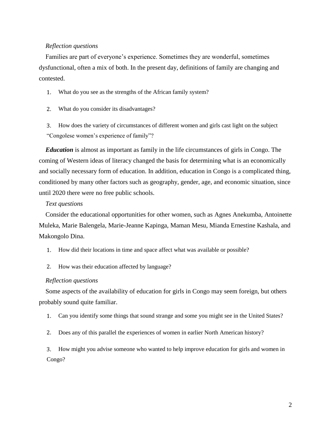# *Reflection questions*

Families are part of everyone's experience. Sometimes they are wonderful, sometimes dysfunctional, often a mix of both. In the present day, definitions of family are changing and contested.

- 1. What do you see as the strengths of the African family system?
- 2. What do you consider its disadvantages?
- 3. How does the variety of circumstances of different women and girls cast light on the subject "Congolese women's experience of family"?

*Education* is almost as important as family in the life circumstances of girls in Congo. The coming of Western ideas of literacy changed the basis for determining what is an economically and socially necessary form of education. In addition, education in Congo is a complicated thing, conditioned by many other factors such as geography, gender, age, and economic situation, since until 2020 there were no free public schools.

# *Text questions*

Consider the educational opportunities for other women, such as Agnes Anekumba, Antoinette Muleka, Marie Balengela, Marie-Jeanne Kapinga, Maman Mesu, Mianda Ernestine Kashala, and Makongolo Dina.

- 1. How did their locations in time and space affect what was available or possible?
- 2. How was their education affected by language?

### *Reflection questions*

Some aspects of the availability of education for girls in Congo may seem foreign, but others probably sound quite familiar.

- 1. Can you identify some things that sound strange and some you might see in the United States?
- 2. Does any of this parallel the experiences of women in earlier North American history?

3. How might you advise someone who wanted to help improve education for girls and women in Congo?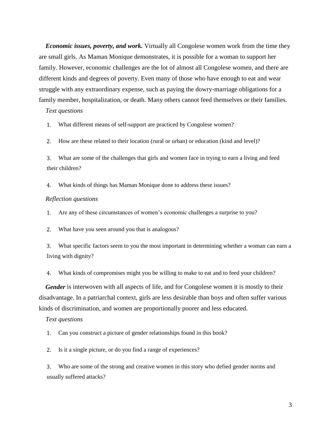*Economic issues, poverty, and work.* Virtually all Congolese women work from the time they are small girls. As Maman Monique demonstrates, it is possible for a woman to support her family. However, economic challenges are the lot of almost all Congolese women, and there are different kinds and degrees of poverty. Even many of those who have enough to eat and wear struggle with any extraordinary expense, such as paying the dowry-marriage obligations for a family member, hospitalization, or death. Many others cannot feed themselves or their families.

# *Text questions*

1. What different means of self-support are practiced by Congolese women?

2. How are these related to their location (rural or urban) or education (kind and level)?

3. What are some of the challenges that girls and women face in trying to earn a living and feed their children?

4. What kinds of things has Maman Monique done to address these issues?

# *Reflection questions*

1. Are any of these circumstances of women's economic challenges a surprise to you?

2. What have you seen around you that is analogous?

3. What specific factors seem to you the most important in determining whether a woman can earn a living with dignity?

4. What kinds of compromises might you be willing to make to eat and to feed your children?

*Gender* is interwoven with all aspects of life, and for Congolese women it is mostly to their disadvantage. In a patriarchal context, girls are less desirable than boys and often suffer various kinds of discrimination, and women are proportionally poorer and less educated.

#### *Text questions*

1. Can you construct a picture of gender relationships found in this book?

2. Is it a single picture, or do you find a range of experiences?

3. Who are some of the strong and creative women in this story who defied gender norms and usually suffered attacks?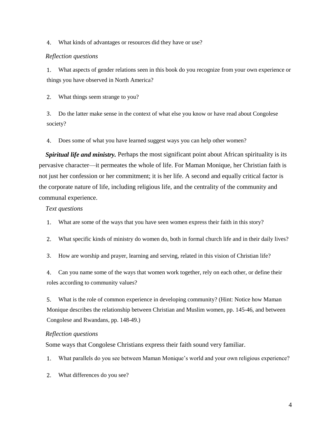4. What kinds of advantages or resources did they have or use?

# *Reflection questions*

1. What aspects of gender relations seen in this book do you recognize from your own experience or things you have observed in North America?

2. What things seem strange to you?

3. Do the latter make sense in the context of what else you know or have read about Congolese society?

4. Does some of what you have learned suggest ways you can help other women?

*Spiritual life and ministry.* Perhaps the most significant point about African spirituality is its pervasive character—it permeates the whole of life. For Maman Monique, her Christian faith is not just her confession or her commitment; it is her life. A second and equally critical factor is the corporate nature of life, including religious life, and the centrality of the community and communal experience.

# *Text questions*

1. What are some of the ways that you have seen women express their faith in this story?

2. What specific kinds of ministry do women do, both in formal church life and in their daily lives?

3. How are worship and prayer, learning and serving, related in this vision of Christian life?

4. Can you name some of the ways that women work together, rely on each other, or define their roles according to community values?

5. What is the role of common experience in developing community? (Hint: Notice how Maman Monique describes the relationship between Christian and Muslim women, pp. 145-46, and between Congolese and Rwandans, pp. 148-49.)

# *Reflection questions*

Some ways that Congolese Christians express their faith sound very familiar.

1. What parallels do you see between Maman Monique's world and your own religious experience?

2. What differences do you see?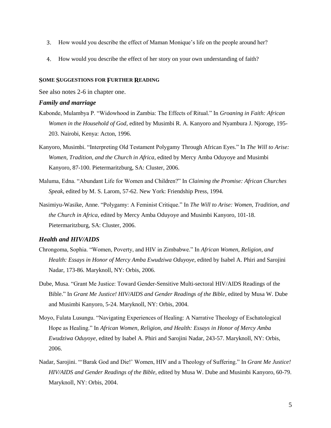- 3. How would you describe the effect of Maman Monique's life on the people around her?
- 4. How would you describe the effect of her story on your own understanding of faith?

#### **SOME SUGGESTIONS FOR FURTHER READING**

See also notes 2-6 in chapter one.

#### *Family and marriage*

- Kabonde, Mulambya P. "Widowhood in Zambia: The Effects of Ritual." In *Groaning in Faith: African Women in the Household of God*, edited by Musimbi R. A. Kanyoro and Nyambura J. Njoroge, 195- 203. Nairobi, Kenya: Acton, 1996.
- Kanyoro, Musimbi. "Interpreting Old Testament Polygamy Through African Eyes." In *The Will to Arise: Women, Tradition, and the Church in Africa*, edited by Mercy Amba Oduyoye and Musimbi Kanyoro, 87-100. Pietermaritzburg, SA: Cluster, 2006.
- Maluma, Edna. "Abundant Life for Women and Children?" In *Claiming the Promise: African Churches Speak*, edited by M. S. Larom, 57-62. New York: Friendship Press, 1994.
- Nasimiyu-Wasike, Anne. "Polygamy: A Feminist Critique." In *The Will to Arise: Women, Tradition, and the Church in Africa*, edited by Mercy Amba Oduyoye and Musimbi Kanyoro, 101-18. Pietermaritzburg, SA: Cluster, 2006.

# *Health and HIV/AIDS*

- Chrongoma, Sophia. "Women, Poverty, and HIV in Zimbabwe." In *African Women, Religion, and Health: Essays in Honor of Mercy Amba Ewudziwa Oduyoye*, edited by Isabel A. Phiri and Sarojini Nadar, 173-86. Maryknoll, NY: Orbis, 2006.
- Dube, Musa. "Grant Me Justice: Toward Gender-Sensitive Multi-sectoral HIV/AIDS Readings of the Bible." In *Grant Me Justice! HIV/AIDS and Gender Readings of the Bible*, edited by Musa W. Dube and Musimbi Kanyoro, 5-24. Maryknoll, NY: Orbis, 2004.
- Moyo, Fulata Lusungu. "Navigating Experiences of Healing: A Narrative Theology of Eschatological Hope as Healing." In *African Women, Religion, and Health: Essays in Honor of Mercy Amba Ewudziwa Oduyoye*, edited by Isabel A. Phiri and Sarojini Nadar, 243-57. Maryknoll, NY: Orbis, 2006.
- Nadar, Sarojini. "'Barak God and Die!' Women, HIV and a Theology of Suffering." In *Grant Me Justice! HIV/AIDS and Gender Readings of the Bible*, edited by Musa W. Dube and Musimbi Kanyoro, 60-79. Maryknoll, NY: Orbis, 2004.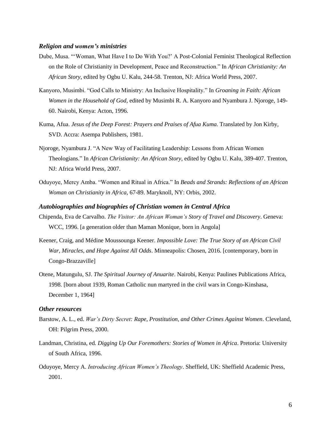### *Religion and women's ministries*

- Dube, Musa. "'Woman, What Have I to Do With You?' A Post-Colonial Feminist Theological Reflection on the Role of Christianity in Development, Peace and Reconstruction." In *African Christianity: An African Story*, edited by Ogbu U. Kalu, 244-58. Trenton, NJ: Africa World Press, 2007.
- Kanyoro, Musimbi. "God Calls to Ministry: An Inclusive Hospitality." In *Groaning in Faith: African Women in the Household of God*, edited by Musimbi R. A. Kanyoro and Nyambura J. Njoroge, 149- 60. Nairobi, Kenya: Acton, 1996.
- Kuma, Afua. *Jesus of the Deep Forest: Prayers and Praises of Afua Kuma*. Translated by Jon Kirby, SVD. Accra: Asempa Publishers, 1981.
- Njoroge, Nyambura J. "A New Way of Facilitating Leadership: Lessons from African Women Theologians." In *African Christianity: An African Story*, edited by Ogbu U. Kalu, 389-407. Trenton, NJ: Africa World Press, 2007.
- Oduyoye, Mercy Amba. "Women and Ritual in Africa." In *Beads and Strands: Reflections of an African Woman on Christianity in Africa*, 67-89. Maryknoll, NY: Orbis, 2002.

#### *Autobiographies and biographies of Christian women in Central Africa*

- Chipenda, Eva de Carvalho. *The Visitor: An African Woman's Story of Travel and Discovery*. Geneva: WCC, 1996. [a generation older than Maman Monique, born in Angola]
- Keener, Craig, and Médine Moussounga Keener. *Impossible Love: The True Story of an African Civil War, Miracles, and Hope Against All Odds*. Minneapolis: Chosen, 2016. [contemporary, born in Congo-Brazzaville]
- Otene, Matungulu, SJ. *The Spiritual Journey of Anuarite*. Nairobi, Kenya: Paulines Publications Africa, 1998. [born about 1939, Roman Catholic nun martyred in the civil wars in Congo-Kinshasa, December 1, 1964]

## *Other resources*

- Barstow, A. L., ed. *War's Dirty Secret: Rape, Prostitution, and Other Crimes Against Women*. Cleveland, OH: Pilgrim Press, 2000.
- Landman, Christina, ed. *Digging Up Our Foremothers: Stories of Women in Africa*. Pretoria: University of South Africa, 1996.
- Oduyoye, Mercy A. *Introducing African Women's Theology*. Sheffield, UK: Sheffield Academic Press, 2001.